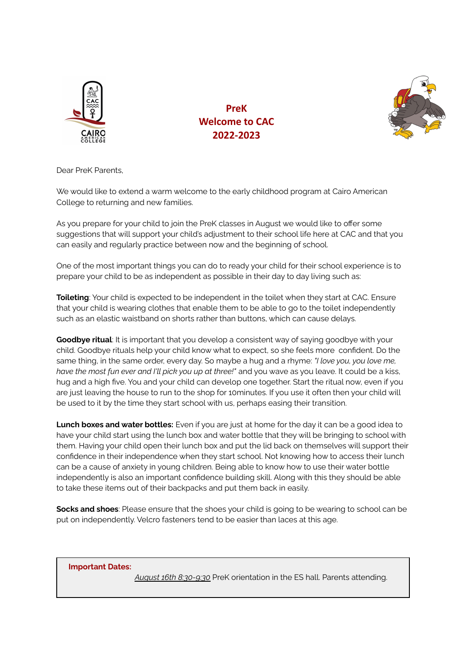

**PreK Welcome to CAC 2022-2023**



Dear PreK Parents,

We would like to extend a warm welcome to the early childhood program at Cairo American College to returning and new families.

As you prepare for your child to join the PreK classes in August we would like to offer some suggestions that will support your child's adjustment to their school life here at CAC and that you can easily and regularly practice between now and the beginning of school.

One of the most important things you can do to ready your child for their school experience is to prepare your child to be as independent as possible in their day to day living such as:

**Toileting**: Your child is expected to be independent in the toilet when they start at CAC. Ensure that your child is wearing clothes that enable them to be able to go to the toilet independently such as an elastic waistband on shorts rather than buttons, which can cause delays.

**Goodbye ritual**: It is important that you develop a consistent way of saying goodbye with your child. Goodbye rituals help your child know what to expect, so she feels more confident. Do the same thing, in the same order, every day. So maybe a hug and a rhyme: *"I love you, you love me, have the most fun ever and I'll pick you up at three!"* and you wave as you leave. It could be a kiss, hug and a high five. You and your child can develop one together. Start the ritual now, even if you are just leaving the house to run to the shop for 10minutes. If you use it often then your child will be used to it by the time they start school with us, perhaps easing their transition.

**Lunch boxes and water bottles:** Even if you are just at home for the day it can be a good idea to have your child start using the lunch box and water bottle that they will be bringing to school with them. Having your child open their lunch box and put the lid back on themselves will support their confidence in their independence when they start school. Not knowing how to access their lunch can be a cause of anxiety in young children. Being able to know how to use their water bottle independently is also an important confidence building skill. Along with this they should be able to take these items out of their backpacks and put them back in easily.

**Socks and shoes**: Please ensure that the shoes your child is going to be wearing to school can be put on independently. Velcro fasteners tend to be easier than laces at this age.

**Important Dates:**

*August 16th 8:30-9:30* PreK orientation in the ES hall. Parents attending.